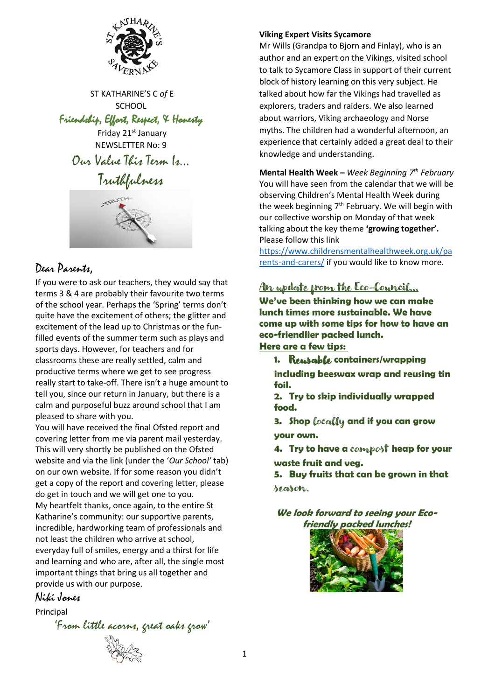

ST KATHARINE'S C *of* E **SCHOOL** 

### Friendship, Effort, Respect, & Honesty

Friday 21<sup>st</sup> January NEWSLETTER No: 9

Our Value This Term Is…

Truthfulness



### Dear Parents,

If you were to ask our teachers, they would say that terms 3 & 4 are probably their favourite two terms of the school year. Perhaps the 'Spring' terms don't quite have the excitement of others; the glitter and excitement of the lead up to Christmas or the funfilled events of the summer term such as plays and sports days. However, for teachers and for classrooms these are really settled, calm and productive terms where we get to see progress really start to take-off. There isn't a huge amount to tell you, since our return in January, but there is a calm and purposeful buzz around school that I am pleased to share with you.

You will have received the final Ofsted report and covering letter from me via parent mail yesterday. This will very shortly be published on the Ofsted website and via the link (under the '*Our School'* tab) on our own website. If for some reason you didn't get a copy of the report and covering letter, please do get in touch and we will get one to you. My heartfelt thanks, once again, to the entire St Katharine's community: our supportive parents, incredible, hardworking team of professionals and not least the children who arrive at school, everyday full of smiles, energy and a thirst for life and learning and who are, after all, the single most important things that bring us all together and provide us with our purpose.

Niki Jones

Principal

'From little acorns, great oaks grow'



#### **Viking Expert Visits Sycamore**

Mr Wills (Grandpa to Bjorn and Finlay), who is an author and an expert on the Vikings, visited school to talk to Sycamore Class in support of their current block of history learning on this very subject. He talked about how far the Vikings had travelled as explorers, traders and raiders. We also learned about warriors, Viking archaeology and Norse myths. The children had a wonderful afternoon, an experience that certainly added a great deal to their knowledge and understanding.

**Mental Health Week –** *Week Beginning 7 th February*  You will have seen from the calendar that we will be observing Children's Mental Health Week during the week beginning 7<sup>th</sup> February. We will begin with our collective worship on Monday of that week talking about the key theme **'growing together'.** Please follow this link

[https://www.childrensmentalhealthweek.org.uk/pa](https://www.childrensmentalhealthweek.org.uk/parents-and-carers/) [rents-and-carers/](https://www.childrensmentalhealthweek.org.uk/parents-and-carers/) if you would like to know more.

# An update from the Eco-Council…

**We've been thinking how we can make lunch times more sustainable. We have come up with some tips for how to have an eco-friendlier packed lunch. Here are a few tips:**

**1.** Reusable **containers/wrapping including beeswax wrap and reusing tin foil.**

**2. Try to skip individually wrapped food.**

**3. Shop** locally **and if you can grow your own.**

**4. Try to have a** compost **heap for your waste fruit and veg.**

**5. Buy fruits that can be grown in that**  season.

**We look forward to seeing your Ecofriendly packed lunches!**

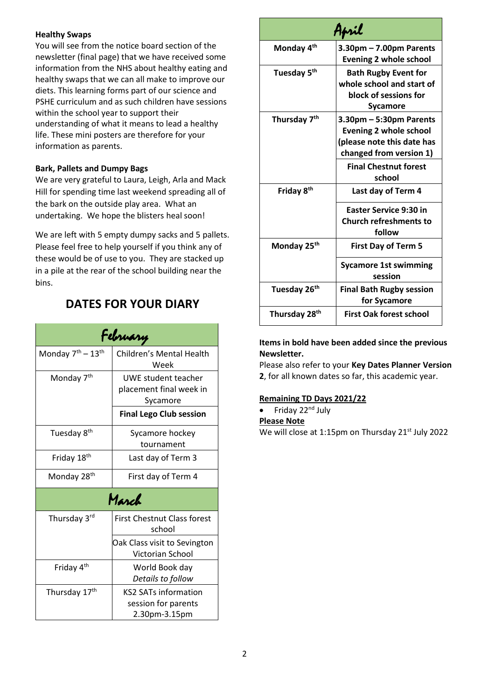#### **Healthy Swaps**

You will see from the notice board section of the newsletter (final page) that we have received some information from the NHS about healthy eating and healthy swaps that we can all make to improve our diets. This learning forms part of our science and PSHE curriculum and as such children have sessions within the school year to support their understanding of what it means to lead a healthy life. These mini posters are therefore for your information as parents.

#### **Bark, Pallets and Dumpy Bags**

We are very grateful to Laura, Leigh, Arla and Mack Hill for spending time last weekend spreading all of the bark on the outside play area. What an undertaking. We hope the blisters heal soon!

We are left with 5 empty dumpy sacks and 5 pallets. Please feel free to help yourself if you think any of these would be of use to you. They are stacked up in a pile at the rear of the school building near the bins.

## **DATES FOR YOUR DIARY**

| February                                  |                                                                     |
|-------------------------------------------|---------------------------------------------------------------------|
| Monday 7 <sup>th</sup> - 13 <sup>th</sup> | Children's Mental Health<br>Week                                    |
| Monday 7 <sup>th</sup>                    | UWE student teacher<br>placement final week in<br>Sycamore          |
|                                           | <b>Final Lego Club session</b>                                      |
| Tuesday 8 <sup>th</sup>                   | Sycamore hockey<br>tournament                                       |
| Friday 18 <sup>th</sup>                   | Last day of Term 3                                                  |
| Monday 28 <sup>th</sup>                   | First day of Term 4                                                 |
| March                                     |                                                                     |
| Thursday 3rd                              | <b>First Chestnut Class forest</b><br>school                        |
|                                           | Oak Class visit to Sevington<br>Victorian School                    |
| Friday 4 <sup>th</sup>                    | World Book day<br>Details to follow                                 |
| Thursday 17 <sup>th</sup>                 | <b>KS2 SATs information</b><br>session for parents<br>2.30pm-3.15pm |

| April                     |                                                                                                                                                             |
|---------------------------|-------------------------------------------------------------------------------------------------------------------------------------------------------------|
| Monday 4 <sup>th</sup>    | $3.30$ pm – 7.00pm Parents<br><b>Evening 2 whole school</b>                                                                                                 |
| Tuesday 5 <sup>th</sup>   | <b>Bath Rugby Event for</b><br>whole school and start of<br>block of sessions for<br>Sycamore                                                               |
| Thursday 7 <sup>th</sup>  | 3.30pm – 5:30pm Parents<br><b>Evening 2 whole school</b><br>(please note this date has<br>changed from version 1)<br><b>Final Chestnut forest</b><br>school |
| Friday 8 <sup>th</sup>    | Last day of Term 4<br><b>Easter Service 9:30 in</b><br><b>Church refreshments to</b><br>follow                                                              |
| Monday 25 <sup>th</sup>   | <b>First Day of Term 5</b><br><b>Sycamore 1st swimming</b><br>session                                                                                       |
| Tuesday 26 <sup>th</sup>  | <b>Final Bath Rugby session</b><br>for Sycamore                                                                                                             |
| Thursday 28 <sup>th</sup> | <b>First Oak forest school</b>                                                                                                                              |

#### **Items in bold have been added since the previous Newsletter.**

Please also refer to your **Key Dates Planner Version 2**, for all known dates so far, this academic year.

#### **Remaining TD Days 2021/22**

• Friday 22<sup>nd</sup> July

**Please Note** 

We will close at 1:15pm on Thursday 21<sup>st</sup> July 2022